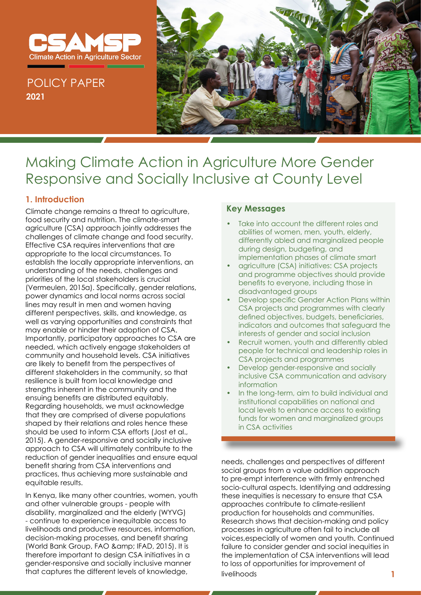

POLICY PAPER **2021**



# Making Climate Action in Agriculture More Gender Responsive and Socially Inclusive at County Level

# **1. Introduction**

Climate change remains a threat to agriculture, food security and nutrition. The climate-smart agriculture (CSA) approach jointly addresses the challenges of climate change and food security. Effective CSA requires interventions that are appropriate to the local circumstances. To establish the locally appropriate interventions, an understanding of the needs, challenges and priorities of the local stakeholders is crucial (Vermeulen, 2015a). Specifically, gender relations, power dynamics and local norms across social lines may result in men and women having different perspectives, skills, and knowledge, as well as varying opportunities and constraints that may enable or hinder their adoption of CSA. Importantly, participatory approaches to CSA are needed, which actively engage stakeholders at community and household levels. CSA initiatives are likely to benefit from the perspectives of different stakeholders in the community, so that resilience is built from local knowledge and strengths inherent in the community and the ensuing benefits are distributed equitably. Regarding households, we must acknowledge that they are comprised of diverse populations shaped by their relations and roles hence these should be used to inform CSA efforts (Jost et al., 2015). A gender-responsive and socially inclusive approach to CSA will ultimately contribute to the reduction of gender inequalities and ensure equal benefit sharing from CSA interventions and practices, thus achieving more sustainable and equitable results.

In Kenya, like many other countries, women, youth and other vulnerable groups - people with disability, marginalized and the elderly (WYVG) - continue to experience inequitable access to livelihoods and productive resources, information, decision-making processes, and benefit sharing (World Bank Group, FAO & amp; IFAD, 2015). It is therefore important to design CSA initiatives in a gender-responsive and socially inclusive manner that captures the different levels of knowledge,

### **Key Messages**

- Take into account the different roles and abilities of women, men, youth, elderly, differently abled and marginalized people during design, budgeting, and implementation phases of climate smart
- agriculture (CSA) initiatives: CSA projects and programme objectives should provide benefits to everyone, including those in disadvantaged groups
- Develop specific Gender Action Plans within CSA projects and programmes with clearly defined objectives, budgets, beneficiaries, indicators and outcomes that safeguard the interests of gender and social inclusion
- Recruit women, youth and differently abled people for technical and leadership roles in CSA projects and programmes
- Develop gender-responsive and socially inclusive CSA communication and advisory information
- In the long-term, aim to build individual and institutional capabilities on national and local levels to enhance access to existing funds for women and marginalized groups in CSA activities

needs, challenges and perspectives of different social groups from a value addition approach to pre-empt interference with firmly entrenched socio-cultural aspects. Identifying and addressing these inequities is necessary to ensure that CSA approaches contribute to climate-resilient production for households and communities. Research shows that decision-making and policy processes in agriculture often fail to include all voices,especially of women and youth. Continued failure to consider gender and social inequities in the implementation of CSA interventions will lead to loss of opportunities for improvement of livelihoods **1**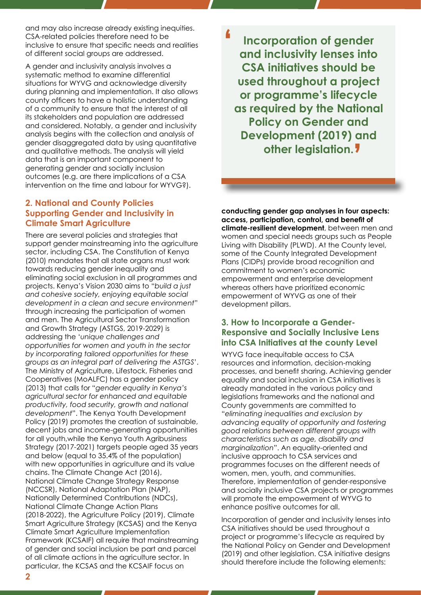and may also increase already existing inequities. CSA-related policies therefore need to be inclusive to ensure that specific needs and realities of different social groups are addressed.

A gender and inclusivity analysis involves a systematic method to examine differential situations for WYVG and acknowledge diversity during planning and implementation. It also allows county officers to have a holistic understanding of a community to ensure that the interest of all its stakeholders and population are addressed and considered. Notably, a gender and inclusivity analysis begins with the collection and analysis of gender disaggregated data by using quantitative and qualitative methods. The analysis will yield data that is an important component to generating gender and socially inclusion outcomes (e.g. are there implications of a CSA intervention on the time and labour for WYVG?).

# **2. National and County Policies Supporting Gender and Inclusivity in Climate Smart Agriculture**

There are several policies and strategies that support gender mainstreaming into the agriculture sector, including CSA. The Constitution of Kenya (2010) mandates that all state organs must work towards reducing gender inequality and eliminating social exclusion in all programmes and projects. Kenya's Vision 2030 aims to "*build a just and cohesive society, enjoying equitable social development in a clean and secure environment*" through increasing the participation of women and men. The Agricultural Sector Transformation and Growth Strategy (ASTGS, 2019-2029) is addressing the '*unique challenges and opportunities for women and youth in the sector by incorporating tailored opportunities for these groups as an integral part of delivering the ASTGS*'. The Ministry of Agriculture, Lifestock, Fisheries and Cooperatives (MoALFC) has a gender policy (2013) that calls for "*gender equality in Kenya's agricultural sector for enhanced and equitable productivity, food security, growth and national development*". The Kenya Youth Development Policy (2019) promotes the creation of sustainable, decent jobs and income-generating opportunities for all youth,while the Kenya Youth Agribusiness Strategy (2017-2021) targets people aged 35 years and below (equal to 35.4% of the population) with new opportunities in agriculture and its value chains. The Climate Change Act (2016), National Climate Change Strategy Response (NCCSR), National Adaptation Plan (NAP), Nationally Determined Contributions (NDCs), National Climate Change Action Plans (2018-2022), the Agriculture Policy (2019), Climate Smart Agriculture Strategy (KCSAS) and the Kenya Climate Smart Agriculture Implementation Framework (KCSAIF) all require that mainstreaming of gender and social inclusion be part and parcel of all climate actions in the agriculture sector. In particular, the KCSAS and the KCSAIF focus on

**Incorporation of gender and inclusivity lenses into CSA initiatives should be used throughout a project or programme's lifecycle as required by the National Policy on Gender and Development (2019) and other legislation. ''**

**conducting gender gap analyses in four aspects: access, participation, control, and benefit of climate-resilient development**, between men and women and special needs groups such as People Living with Disability (PLWD). At the County level, some of the County Integrated Development Plans (CIDPs) provide broad recognition and commitment to women's economic empowerment and enterprise development whereas others have prioritized economic empowerment of WYVG as one of their development pillars.

# **3. How to Incorporate a Gender-Responsive and Socially Inclusive Lens into CSA Initiatives at the county Level**

WYVG face inequitable access to CSA resources and information, decision-making processes, and benefit sharing. Achieving gender equality and social inclusion in CSA initiatives is already mandated in the various policy and legislations frameworks and the national and County governments are committed to "*eliminating inequalities and exclusion by advancing equality of opportunity and fostering good relations between different groups with characteristics such as age, disability and marginalization*". An equality-oriented and inclusive approach to CSA services and programmes focuses on the different needs of women, men, youth, and communities. Therefore, implementation of gender-responsive and socially inclusive CSA projects or programmes will promote the empowerment of WYVG to enhance positive outcomes for all.

Incorporation of gender and inclusivity lenses into CSA initiatives should be used throughout a project or programme's lifecycle as required by the National Policy on Gender and Development (2019) and other legislation. CSA initiative designs should therefore include the following elements: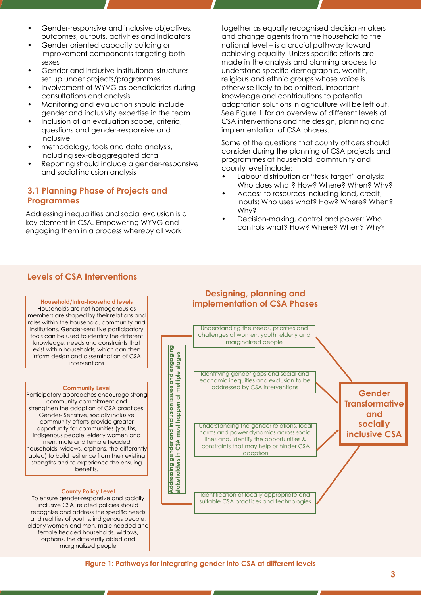- Gender-responsive and inclusive objectives, outcomes, outputs, activities and indicators
- Gender oriented capacity building or improvement components targeting both sexes
- Gender and inclusive institutional structures set up under projects/programmes
- Involvement of WYVG as beneficiaries during consultations and analysis
- Monitoring and evaluation should include gender and inclusivity expertise in the team
- Inclusion of an evaluation scope, criteria, questions and gender-responsive and inclusive
- methodology, tools and data analysis, including sex-disaggregated data
- Reporting should include a gender-responsive and social inclusion analysis

# **3.1 Planning Phase of Projects and Programmes**

Addressing inequalities and social exclusion is a key element in CSA. Empowering WYVG and engaging them in a process whereby all work

together as equally recognised decision-makers and change agents from the household to the national level – is a crucial pathway toward achieving equality. Unless specific efforts are made in the analysis and planning process to understand specific demographic, wealth, religious and ethnic groups whose voice is otherwise likely to be omitted, important knowledge and contributions to potential adaptation solutions in agriculture will be left out. See Figure 1 for an overview of different levels of CSA interventions and the design, planning and implementation of CSA phases.

Some of the questions that county officers should consider during the planning of CSA projects and programmes at household, community and county level include:

- Labour distribution or "task-target" analysis: Who does what? How? Where? When? Why?
- Access to resources including land, credit, inputs: Who uses what? How? Where? When? Why?
- Decision-making, control and power: Who controls what? How? Where? When? Why?

# **Levels of CSA Interventions**

#### **Household/Intra-household levels**

Households are not homogenous as members are shaped by their relations and roles within the household, community and institutions. Gender-sensitive participatory tools can be used to identify the different knowledge, needs and constraints that exist within households, which can then inform design and dissemination of CSA interventions

#### **Community Level**

Participatory approaches encourage strong community commitment and strengthen the adoption of CSA practices. Gender- Sensitive, socially inclusive community efforts provide greater opportunity for communities (youths, indigenous people, elderly women and men, male and female headed households, widows, orphans, the differantly abled) to build resilience from their existing strengths and to experience the ensuing benefits.

#### **County Policy Level**

To ensure gender-responsive and socially inclusive CSA, related policies should recognize and address the specific needs and realities of youths, indigenous people, elderly women and men, male headed and female headed households, widows, orphans, the differently abled and marginalized people



#### **Figure 1: Pathways for integrating gender into CSA at different levels**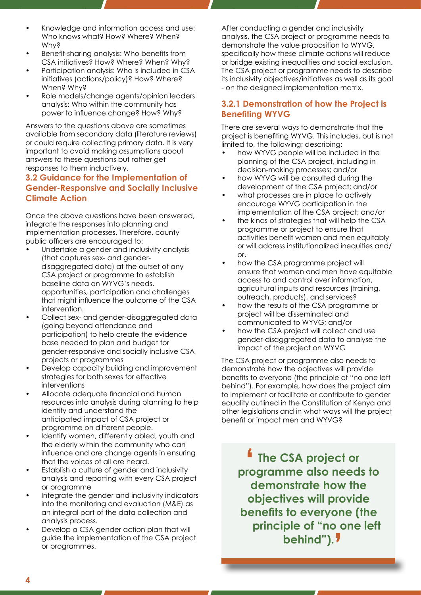- Knowledge and information access and use: Who knows what? How? Where? When? Why?
- Benefit-sharing analysis: Who benefits from CSA initiatives? How? Where? When? Why?
- Participation analysis: Who is included in CSA initiatives (actions/policy)? How? Where? When? Why?
- Role models/change agents/opinion leaders analysis: Who within the community has power to influence change? How? Why?

Answers to the questions above are sometimes available from secondary data (literature reviews) or could require collecting primary data. It is very important to avoid making assumptions about answers to these questions but rather get responses to them inductively.

# **3.2 Guidance for the Implementation of Gender-Responsive and Socially Inclusive Climate Action**

Once the above questions have been answered, integrate the responses into planning and implementation processes. Therefore, county public officers are encouraged to:

- Undertake a gender and inclusivity analysis (that captures sex- and genderdisaggregated data) at the outset of any CSA project or programme to establish baseline data on WYVG's needs, opportunities, participation and challenges that might influence the outcome of the CSA intervention.
- Collect sex- and gender-disaggregated data (going beyond attendance and participation) to help create the evidence base needed to plan and budget for gender-responsive and socially inclusive CSA projects or programmes
- Develop capacity building and improvement strategies for both sexes for effective interventions
- Allocate adequate financial and human resources into analysis during planning to help identify and understand the anticipated impact of CSA project or programme on different people.
- Identify women, differently abled, youth and the elderly within the community who can influence and are change agents in ensuring that the voices of all are heard.
- Establish a culture of gender and inclusivity analysis and reporting with every CSA project or programme
- Integrate the gender and inclusivity indicators into the monitoring and evaluation (M&E) as an integral part of the data collection and analysis process.
- Develop a CSA gender action plan that will guide the implementation of the CSA project or programmes.

After conducting a gender and inclusivity analysis, the CSA project or programme needs to demonstrate the value proposition to WYVG, specifically how these climate actions will reduce or bridge existing inequalities and social exclusion. The CSA project or programme needs to describe its inclusivity objectives/initiatives as well as its goal - on the designed implementation matrix.

# **3.2.1 Demonstration of how the Project is Benefiting WYVG**

There are several ways to demonstrate that the project is benefiting WYVG. This includes, but is not limited to, the following; describing:

- how WYVG people will be included in the planning of the CSA project, including in decision-making processes; and/or
- how WYVG will be consulted during the development of the CSA project; and/or
- what processes are in place to actively encourage WYVG participation in the implementation of the CSA project; and/or
- the kinds of strategies that will help the CSA programme or project to ensure that activities benefit women and men equitably or will address institutionalized inequities and/ or,
- how the CSA programme project will ensure that women and men have equitable access to and control over information, agricultural inputs and resources (training, outreach, products), and services?
- how the results of the CSA programme or project will be disseminated and communicated to WYVG; and/or
- how the CSA project will collect and use gender-disaggregated data to analyse the impact of the project on WYVG

The CSA project or programme also needs to demonstrate how the objectives will provide benefits to everyone (the principle of "no one left behind"). For example, how does the project aim to implement or facilitate or contribute to gender equality outlined in the Constitution of Kenya and other legislations and in what ways will the project benefit or impact men and WYVG?

**The CSA project or programme also needs to demonstrate how the objectives will provide benefits to everyone (the principle of "no one left behind"). ''**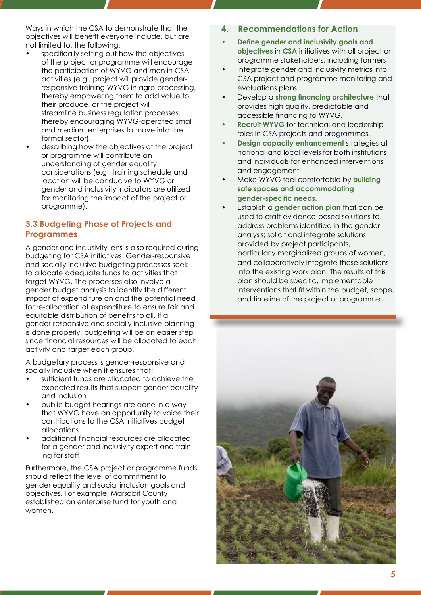Ways in which the CSA to demonstrate that the objectives will benefit everyone include, but are not limited to, the following:

- specifically setting out how the objectives of the project or programme will encourage the participation of WYVG and men in CSA activities (e.g., project will provide genderresponsive training WYVG in agro-processing, thereby empowering them to add value to their produce, or the project will streamline business regulation processes, thereby encouraging WYVG-operated small and medium enterprises to move into the formal sector).
- describing how the objectives of the project or programme will contribute an understanding of gender equality considerations (e.g., training schedule and location will be conducive to WYVG or gender and inclusivity indicators are utilized for monitoring the impact of the project or programme).

# **3.3 Budgeting Phase of Projects and Programmes**

A gender and inclusivity lens is also required during budgeting for CSA initiatives. Gender-responsive and socially inclusive budgeting processes seek to allocate adequate funds to activities that target WYVG. The processes also involve a gender budget analysis to identify the different impact of expenditure on and the potential need for re-allocation of expenditure to ensure fair and equitable distribution of benefits to all. If a gender-responsive and socially inclusive planning is done properly, budgeting will be an easier step since financial resources will be allocated to each activity and target each group.

A budgetary process is gender-responsive and socially inclusive when it ensures that:

- sufficient funds are allocated to achieve the expected results that support gender equality and inclusion
- public budget hearings are done in a way that WYVG have an opportunity to voice their contributions to the CSA initiatives budget allocations
- additional financial resources are allocated for a gender and inclusivity expert and training for staff

Furthermore, the CSA project or programme funds should reflect the level of commitment to gender equality and social inclusion goals and objectives. For example, Marsabit County established an enterprise fund for youth and women.

### **4. Recommendations for Action**

- **• Define gender and inclusivity goals and objectives** in **CSA** initiatives with all project or programme stakeholders, including farmers
- Integrate gender and inclusivity metrics into CSA project and programme monitoring and evaluations plans.
- Develop a **strong financing architecture** that provides high quality, predictable and accessible financing to WYVG.
- **• Recruit WYVG** for technical and leadership roles in CSA projects and programmes.
- **• Design capacity enhancement** strategies at national and local levels for both institutions and individuals for enhanced interventions and engagement
- Make WYVG feel comfortable by **building safe spaces and accommodating gender-specific needs.**
- Establish a **gender action plan** that can be used to craft evidence-based solutions to address problems identified in the gender analysis; solicit and integrate solutions provided by project participants, particularly marginalized groups of women, and collaboratively integrate these solutions into the existing work plan. The results of this plan should be specific, implementable interventions that fit within the budget, scope, and timeline of the project or programme.